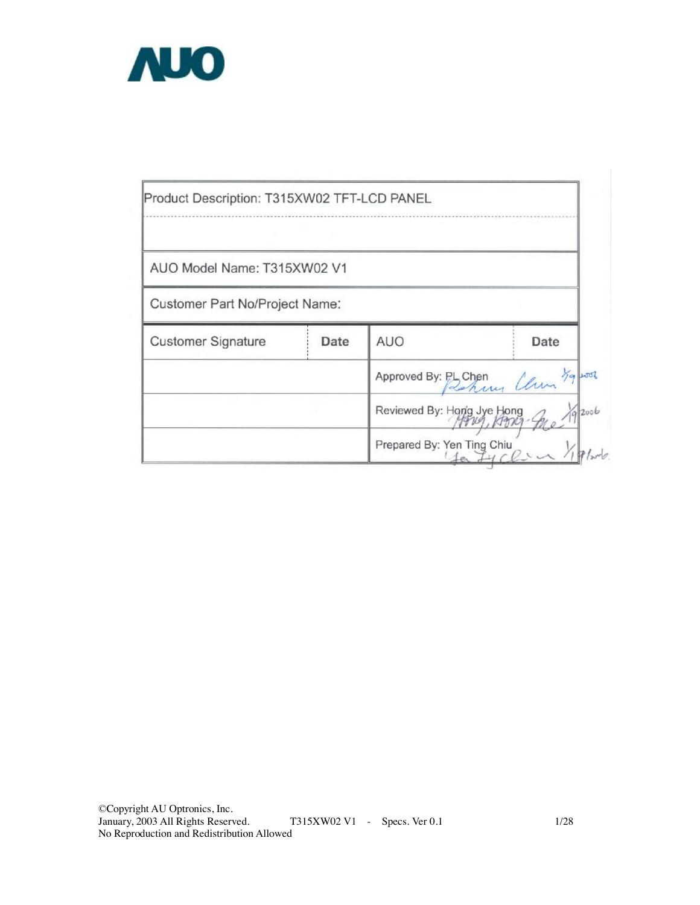

| Product Description: T315XW02 TFT-LCD PANEL |      |                                               |         |
|---------------------------------------------|------|-----------------------------------------------|---------|
| AUO Model Name: T315XW02 V1                 |      |                                               |         |
| Customer Part No/Project Name:              |      |                                               |         |
| <b>Customer Signature</b>                   | Date | AUO                                           | Date    |
|                                             |      | Approved By: PL Chen<br>Rehavior Clim 79 2002 |         |
|                                             |      | Reviewed By: Hong Jye Hong                    | (9)2006 |
|                                             |      | Prepared By: Yen Ting Chiu                    |         |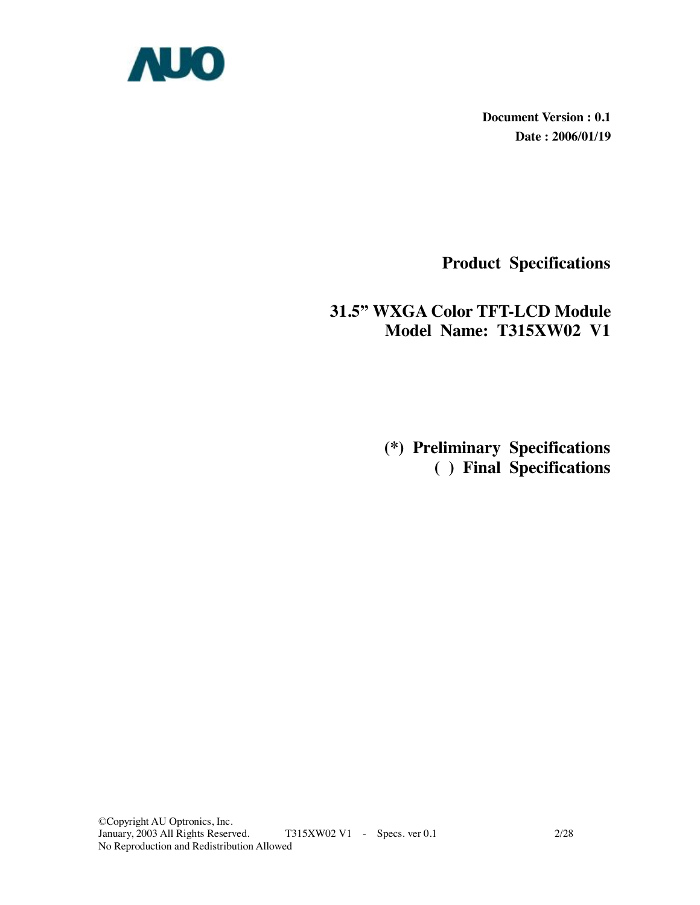

**Document Version : 0.1 Date : 2006/01/19** 

**Product Specifications** 

### **31.5" WXGA Color TFT-LCD Module Model Name: T315XW02 V1**

 **(\*) Preliminary Specifications ( ) Final Specifications**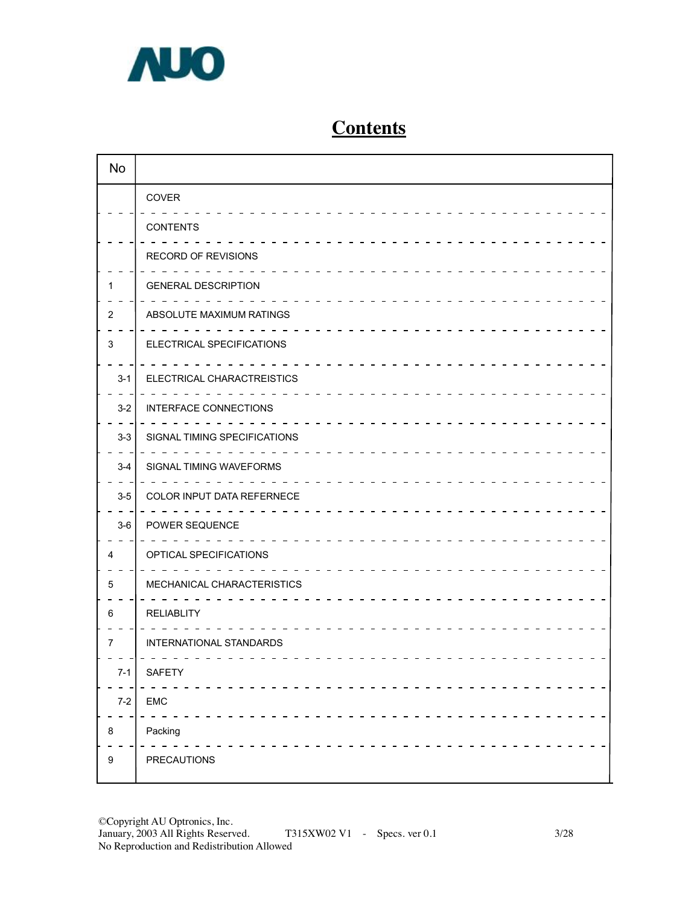

# **Contents**

| <b>No</b>        |                              |
|------------------|------------------------------|
|                  | COVER                        |
|                  | <b>CONTENTS</b>              |
|                  | RECORD OF REVISIONS          |
|                  | <b>GENERAL DESCRIPTION</b>   |
| 2                | ABSOLUTE MAXIMUM RATINGS     |
| 3                | ELECTRICAL SPECIFICATIONS    |
| $3 - 1$          | ELECTRICAL CHARACTREISTICS   |
| $3-2$            | INTERFACE CONNECTIONS        |
| $3-3$            | SIGNAL TIMING SPECIFICATIONS |
| $3-4$            | SIGNAL TIMING WAVEFORMS      |
| $3-5$            | COLOR INPUT DATA REFERNECE   |
| $3-6$            | POWER SEQUENCE               |
| 4                | OPTICAL SPECIFICATIONS       |
| 5                | MECHANICAL CHARACTERISTICS   |
| 6                | <b>RELIABLITY</b>            |
| 7                | INTERNATIONAL STANDARDS      |
| $7 - 1$          | <b>SAFETY</b>                |
| $7-2$            | EMC                          |
| 8                | Packing                      |
| $\boldsymbol{9}$ | <b>PRECAUTIONS</b>           |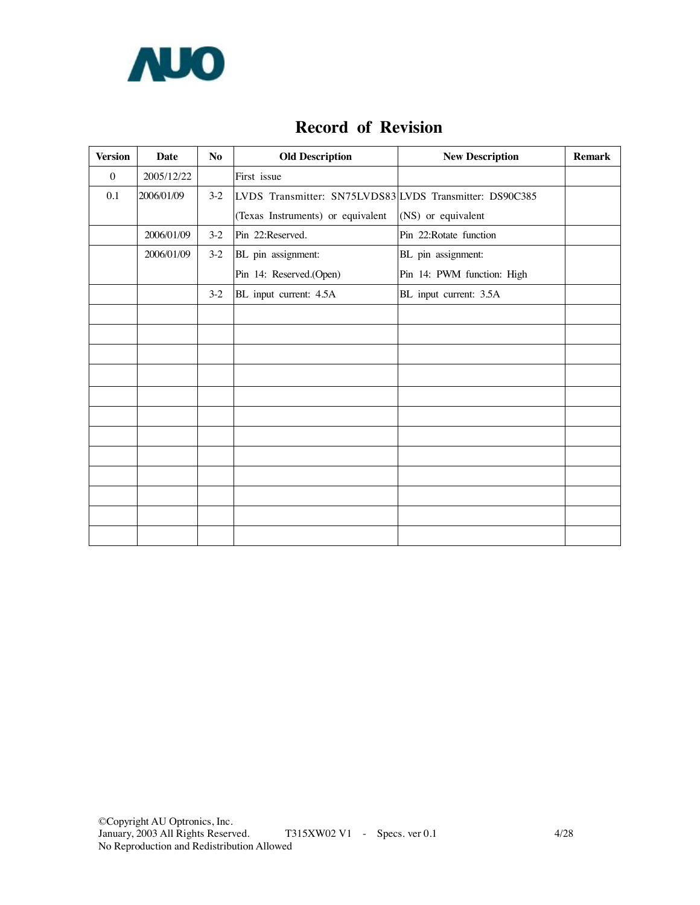

### **Record of Revision**

| <b>Version</b> | Date       | N <sub>o</sub> | <b>Old Description</b>                                  | <b>New Description</b>     | <b>Remark</b> |
|----------------|------------|----------------|---------------------------------------------------------|----------------------------|---------------|
| $\mathbf{0}$   | 2005/12/22 |                | First issue                                             |                            |               |
| 0.1            | 2006/01/09 | $3-2$          | LVDS Transmitter: SN75LVDS83 LVDS Transmitter: DS90C385 |                            |               |
|                |            |                | (Texas Instruments) or equivalent                       | (NS) or equivalent         |               |
|                | 2006/01/09 | $3-2$          | Pin 22:Reserved.                                        | Pin 22: Rotate function    |               |
|                | 2006/01/09 | $3-2$          | BL pin assignment:                                      | BL pin assignment:         |               |
|                |            |                | Pin 14: Reserved.(Open)                                 | Pin 14: PWM function: High |               |
|                |            | $3-2$          | BL input current: 4.5A                                  | BL input current: 3.5A     |               |
|                |            |                |                                                         |                            |               |
|                |            |                |                                                         |                            |               |
|                |            |                |                                                         |                            |               |
|                |            |                |                                                         |                            |               |
|                |            |                |                                                         |                            |               |
|                |            |                |                                                         |                            |               |
|                |            |                |                                                         |                            |               |
|                |            |                |                                                         |                            |               |
|                |            |                |                                                         |                            |               |
|                |            |                |                                                         |                            |               |
|                |            |                |                                                         |                            |               |
|                |            |                |                                                         |                            |               |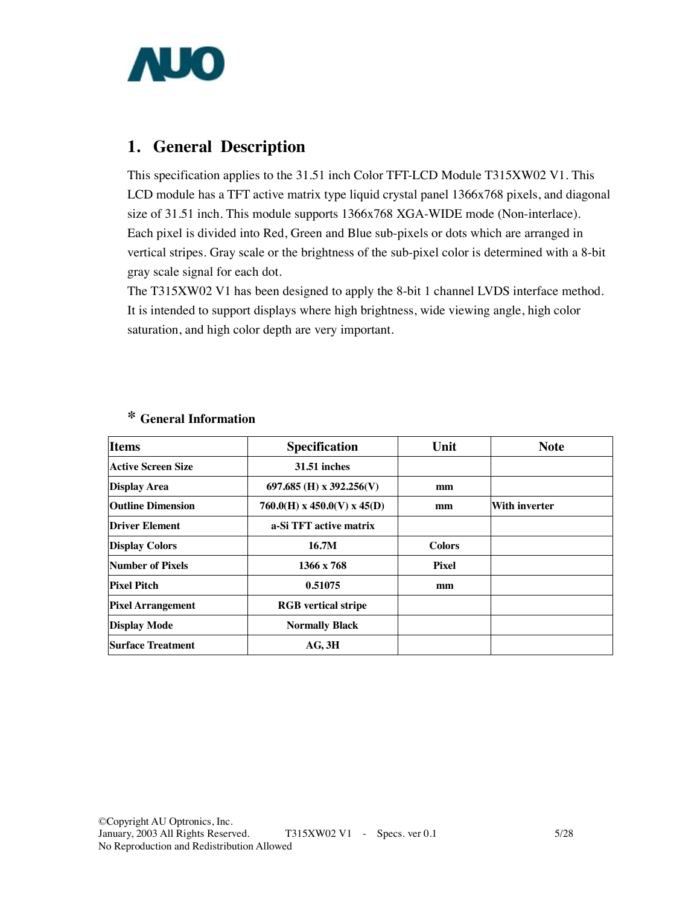

### **1. General Description**

This specification applies to the 31.51 inch Color TFT-LCD Module T315XW02 V1. This LCD module has a TFT active matrix type liquid crystal panel 1366x768 pixels, and diagonal size of 31.51 inch. This module supports 1366x768 XGA-WIDE mode (Non-interlace). Each pixel is divided into Red, Green and Blue sub-pixels or dots which are arranged in vertical stripes. Gray scale or the brightness of the sub-pixel color is determined with a 8-bit gray scale signal for each dot.

The T315XW02 V1 has been designed to apply the 8-bit 1 channel LVDS interface method. It is intended to support displays where high brightness, wide viewing angle, high color saturation, and high color depth are very important.

| <b>Items</b>                                              | <b>Specification</b>       |               | <b>Note</b>          |
|-----------------------------------------------------------|----------------------------|---------------|----------------------|
| Active Screen Size                                        | <b>31.51 inches</b>        |               |                      |
| <b>Display Area</b>                                       | 697.685 (H) x 392.256(V)   | mm            |                      |
| <b>Outline Dimension</b><br>$760.0(H)$ x 450.0(V) x 45(D) |                            | mm            | <b>With inverter</b> |
| <b>Driver Element</b>                                     | a-Si TFT active matrix     |               |                      |
| <b>Display Colors</b>                                     | 16.7M                      | <b>Colors</b> |                      |
| Number of Pixels                                          | 1366 x 768                 | <b>Pixel</b>  |                      |
| <b>Pixel Pitch</b>                                        | 0.51075                    | mm            |                      |
| <b>Pixel Arrangement</b>                                  | <b>RGB</b> vertical stripe |               |                      |
| <b>Display Mode</b>                                       | <b>Normally Black</b>      |               |                      |
| Surface Treatment                                         | AG, 3H                     |               |                      |

### **\* General Information**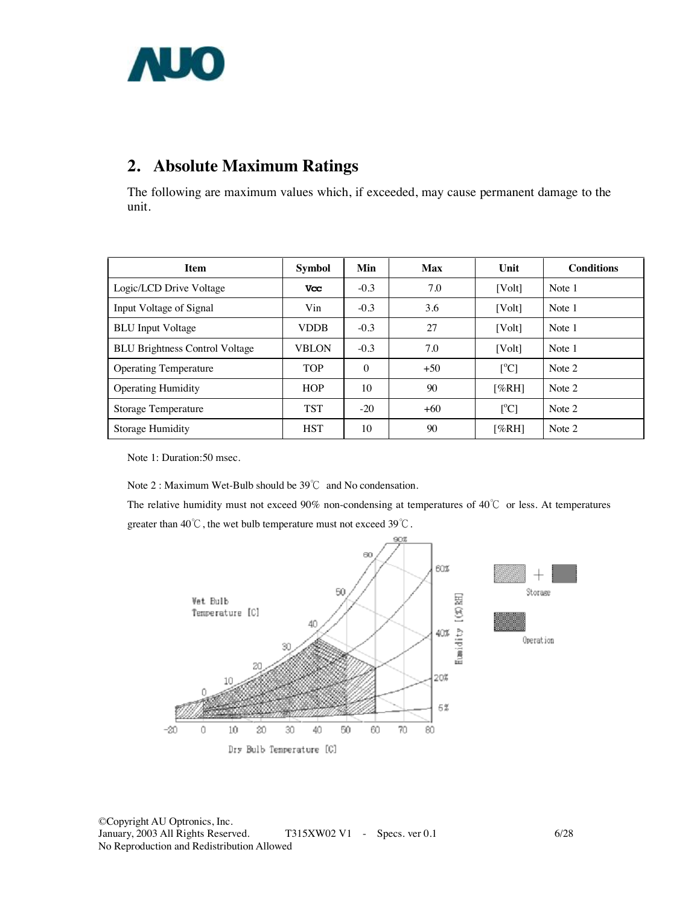

# **2. Absolute Maximum Ratings**

The following are maximum values which, if exceeded, may cause permanent damage to the unit.

| <b>Item</b>                           | <b>Symbol</b> | Min      | <b>Max</b> | Unit                      | <b>Conditions</b> |
|---------------------------------------|---------------|----------|------------|---------------------------|-------------------|
| Logic/LCD Drive Voltage               | <b>Vcc</b>    | $-0.3$   | 7.0        | [Vol <sub>t</sub> ]       | Note 1            |
| Input Voltage of Signal               | Vin           | $-0.3$   | 3.6        | [Vol <sub>t</sub> ]       | Note 1            |
| <b>BLU</b> Input Voltage              | <b>VDDB</b>   | $-0.3$   | 27         | [Vol <sub>t</sub> ]       | Note 1            |
| <b>BLU Brightness Control Voltage</b> | <b>VBLON</b>  | $-0.3$   | 7.0        | [Volt]                    | Note 1            |
| <b>Operating Temperature</b>          | <b>TOP</b>    | $\Omega$ | $+50$      | $\lceil{^{\circ}C}\rceil$ | Note 2            |
| <b>Operating Humidity</b>             | <b>HOP</b>    | 10       | 90         | [%RH]                     | Note 2            |
| <b>Storage Temperature</b>            | <b>TST</b>    | $-20$    | $+60$      | $\lceil{^{\circ}C}\rceil$ | Note 2            |
| Storage Humidity                      | <b>HST</b>    | 10       | 90         | [%RH]                     | Note 2            |

Note 1: Duration:50 msec.

Note 2 : Maximum Wet-Bulb should be 39℃ and No condensation.

The relative humidity must not exceed 90% non-condensing at temperatures of 40℃ or less. At temperatures greater than 40℃, the wet bulb temperature must not exceed 39℃.

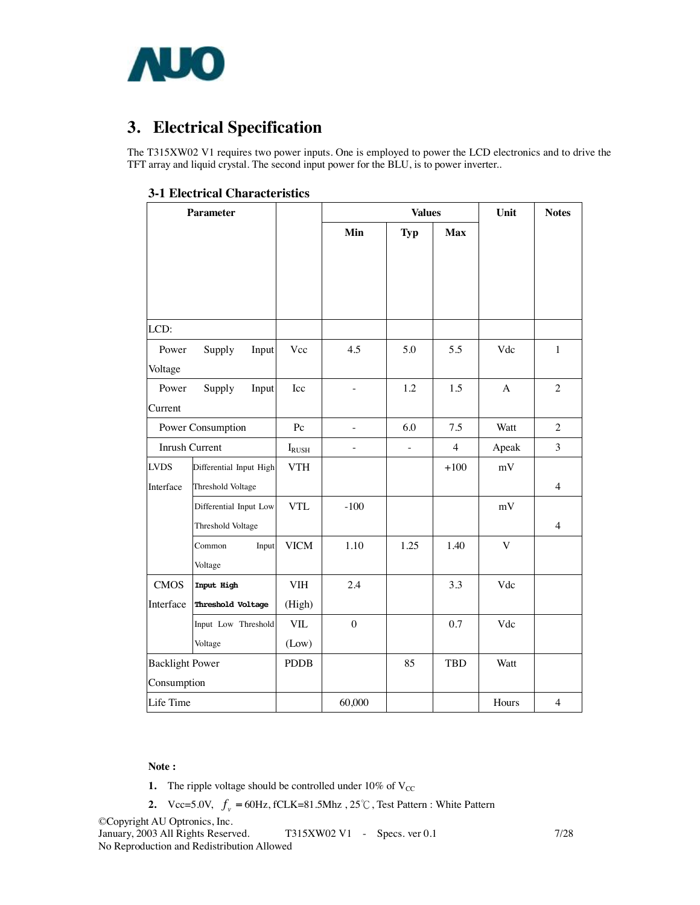

# **3. Electrical Specification**

The T315XW02 V1 requires two power inputs. One is employed to power the LCD electronics and to drive the TFT array and liquid crystal. The second input power for the BLU, is to power inverter..

| 3-1 Electrical Characteristics |
|--------------------------------|
|--------------------------------|

| <b>Parameter</b>       |                         |                |                          | <b>Values</b> |                | Unit         | <b>Notes</b>   |
|------------------------|-------------------------|----------------|--------------------------|---------------|----------------|--------------|----------------|
|                        |                         |                | Min                      | <b>Typ</b>    | <b>Max</b>     |              |                |
|                        |                         |                |                          |               |                |              |                |
|                        |                         |                |                          |               |                |              |                |
|                        |                         |                |                          |               |                |              |                |
| LCD:                   |                         |                |                          |               |                |              |                |
| Power                  | Supply<br>Input         | Vcc            | 4.5                      | 5.0           | 5.5            | Vdc          | $\mathbf{1}$   |
| Voltage                |                         |                |                          |               |                |              |                |
| Power                  | Supply<br>Input         | Icc            | ÷,                       | 1.2           | 1.5            | $\mathbf{A}$ | $\overline{2}$ |
| Current                |                         |                |                          |               |                |              |                |
| Power Consumption      |                         | Pc             |                          | 6.0           | 7.5            | Watt         | $\overline{2}$ |
| Inrush Current         |                         | $I_{\rm RUSH}$ | $\overline{\phantom{0}}$ | $\frac{1}{2}$ | $\overline{4}$ | Apeak        | 3              |
| <b>LVDS</b>            | Differential Input High | <b>VTH</b>     |                          |               | $+100$         | mV           |                |
| Interface              | Threshold Voltage       |                |                          |               |                |              | $\overline{4}$ |
|                        | Differential Input Low  | <b>VTL</b>     | $-100$                   |               |                | mV           |                |
|                        | Threshold Voltage       |                |                          |               |                |              | $\overline{4}$ |
|                        | Common<br>Input         | <b>VICM</b>    | 1.10                     | 1.25          | 1.40           | $\mathbf V$  |                |
|                        | Voltage                 |                |                          |               |                |              |                |
| <b>CMOS</b>            | Input High              | <b>VIH</b>     | 2.4                      |               | 3.3            | Vdc          |                |
| Interface              | Threshold Voltage       | (High)         |                          |               |                |              |                |
|                        | Input Low Threshold     | <b>VIL</b>     | $\overline{0}$           |               | 0.7            | Vdc          |                |
|                        | Voltage                 | (Low)          |                          |               |                |              |                |
| <b>Backlight Power</b> |                         | <b>PDDB</b>    |                          | 85            | <b>TBD</b>     | Watt         |                |
| Consumption            |                         |                |                          |               |                |              |                |
| Life Time              |                         |                | 60,000                   |               |                | Hours        | $\overline{4}$ |

#### **Note :**

- **1.** The ripple voltage should be controlled under  $10\%$  of  $V_{CC}$
- **2.**  $Vcc=5.0V$ ,  $f_v = 60Hz$ , fCLK=81.5Mhz,  $25^{\circ}$ C, Test Pattern : White Pattern

©Copyright AU Optronics, Inc. T315XW02 V1 - Specs. ver 0.1 7/28 No Reproduction and Redistribution Allowed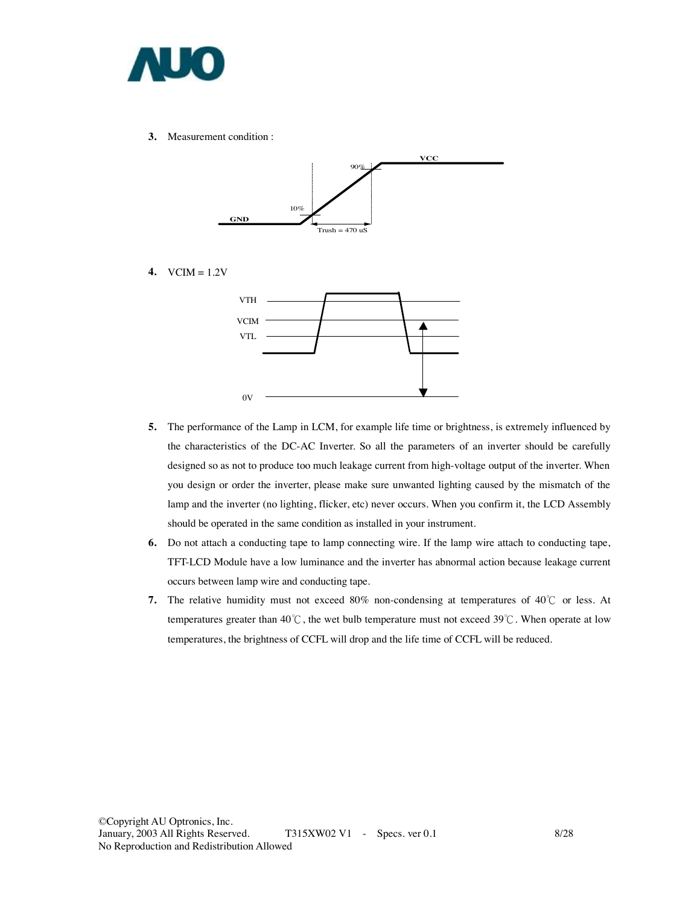

**3.** Measurement condition :



**4.** VCIM = 1.2V



- **5.** The performance of the Lamp in LCM, for example life time or brightness, is extremely influenced by the characteristics of the DC-AC Inverter. So all the parameters of an inverter should be carefully designed so as not to produce too much leakage current from high-voltage output of the inverter. When you design or order the inverter, please make sure unwanted lighting caused by the mismatch of the lamp and the inverter (no lighting, flicker, etc) never occurs. When you confirm it, the LCD Assembly should be operated in the same condition as installed in your instrument.
- **6.** Do not attach a conducting tape to lamp connecting wire. If the lamp wire attach to conducting tape, TFT-LCD Module have a low luminance and the inverter has abnormal action because leakage current occurs between lamp wire and conducting tape.
- **7.** The relative humidity must not exceed 80% non-condensing at temperatures of 40℃ or less. At temperatures greater than 40℃, the wet bulb temperature must not exceed 39℃. When operate at low temperatures, the brightness of CCFL will drop and the life time of CCFL will be reduced.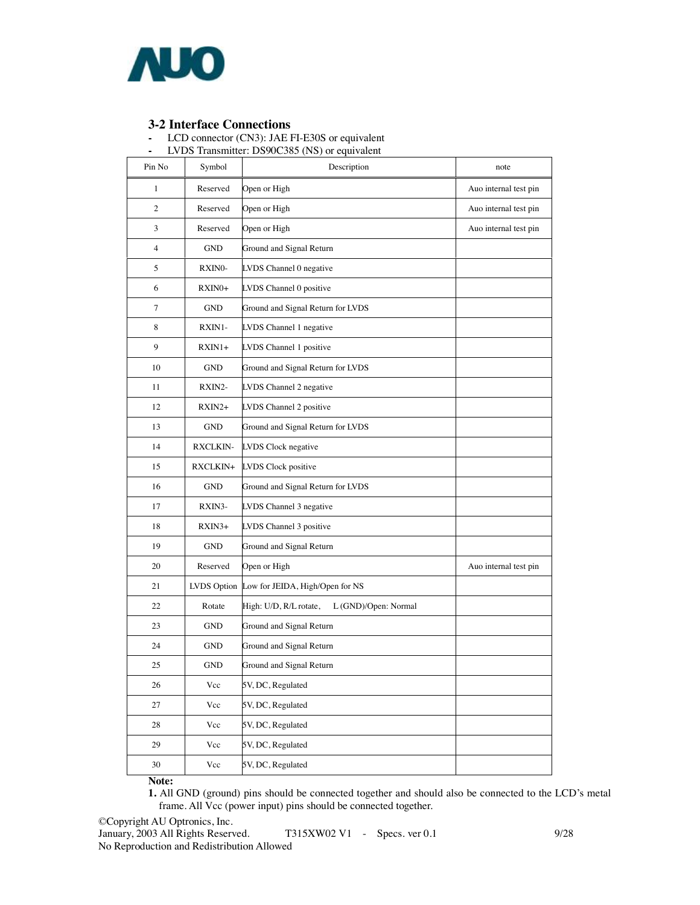

**3-2 Interface Connections -** LCD connector (CN3): JAE FI-E30S or equivalent

|  | LVDS Transmitter: DS90C385 (NS) or equivalent |  |  |  |
|--|-----------------------------------------------|--|--|--|
|  |                                               |  |  |  |

| Pin No         | Symbol          | Description                                    | note                  |
|----------------|-----------------|------------------------------------------------|-----------------------|
| 1              | Reserved        | Open or High                                   | Auo internal test pin |
| $\overline{c}$ | Reserved        | Open or High                                   | Auo internal test pin |
| 3              | Reserved        | Open or High                                   | Auo internal test pin |
| 4              | <b>GND</b>      | Ground and Signal Return                       |                       |
| 5              | RXINO-          | LVDS Channel 0 negative                        |                       |
| 6              | RXIN0+          | LVDS Channel 0 positive                        |                       |
| $\tau$         | GND             | Ground and Signal Return for LVDS              |                       |
| 8              | RXIN1-          | LVDS Channel 1 negative                        |                       |
| 9              | RXIN1+          | LVDS Channel 1 positive                        |                       |
| 10             | GND             | Ground and Signal Return for LVDS              |                       |
| 11             | RXIN2-          | LVDS Channel 2 negative                        |                       |
| 12             | $RXIN2+$        | LVDS Channel 2 positive                        |                       |
| 13             | <b>GND</b>      | Ground and Signal Return for LVDS              |                       |
| 14             | <b>RXCLKIN-</b> | LVDS Clock negative                            |                       |
| 15             | RXCLKIN+        | LVDS Clock positive                            |                       |
| 16             | <b>GND</b>      | Ground and Signal Return for LVDS              |                       |
| 17             | RXIN3-          | LVDS Channel 3 negative                        |                       |
| 18             | $RXIN3+$        | LVDS Channel 3 positive                        |                       |
| 19             | GND             | Ground and Signal Return                       |                       |
| 20             | Reserved        | Open or High                                   | Auo internal test pin |
| 21             | LVDS Option     | Low for JEIDA, High/Open for NS                |                       |
| 22             | Rotate          | High: U/D, R/L rotate,<br>L (GND)/Open: Normal |                       |
| 23             | GND             | Ground and Signal Return                       |                       |
| 24             | GND             | Ground and Signal Return                       |                       |
| 25             | <b>GND</b>      | Ground and Signal Return                       |                       |
| 26             | Vcc             | 5V, DC, Regulated                              |                       |
| 27             | $\rm Vcc$       | 5V, DC, Regulated                              |                       |
| 28             | Vcc             | 5V, DC, Regulated                              |                       |
| 29             | Vcc             | 5V, DC, Regulated                              |                       |
| 30             | $\rm Vcc$       | 5V, DC, Regulated                              |                       |

**Note:** 

**1.** All GND (ground) pins should be connected together and should also be connected to the LCD's metal frame. All Vcc (power input) pins should be connected together.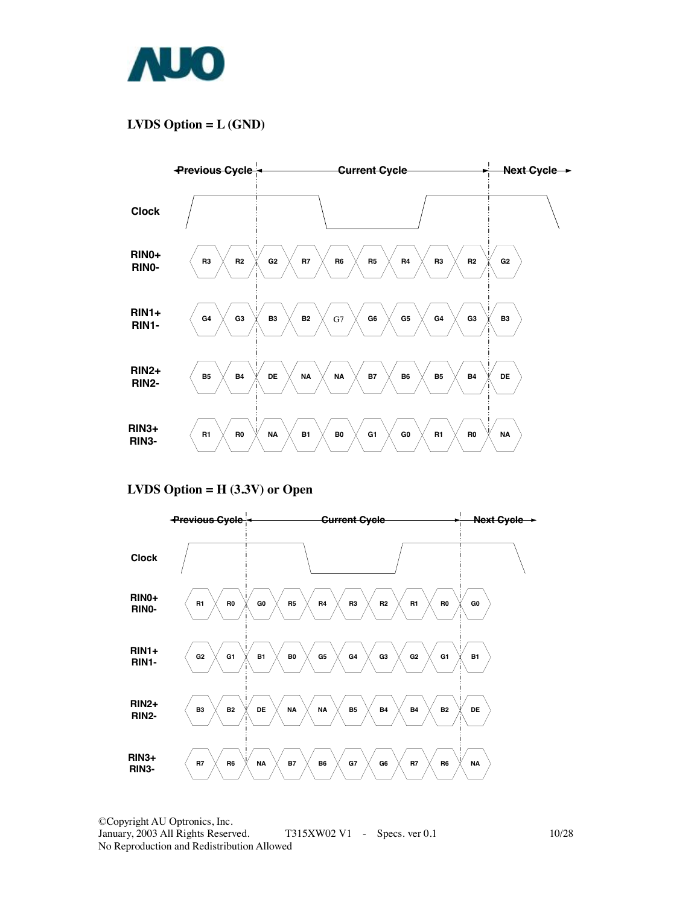

### **LVDS Option = L (GND)**



**LVDS Option = H (3.3V) or Open** 

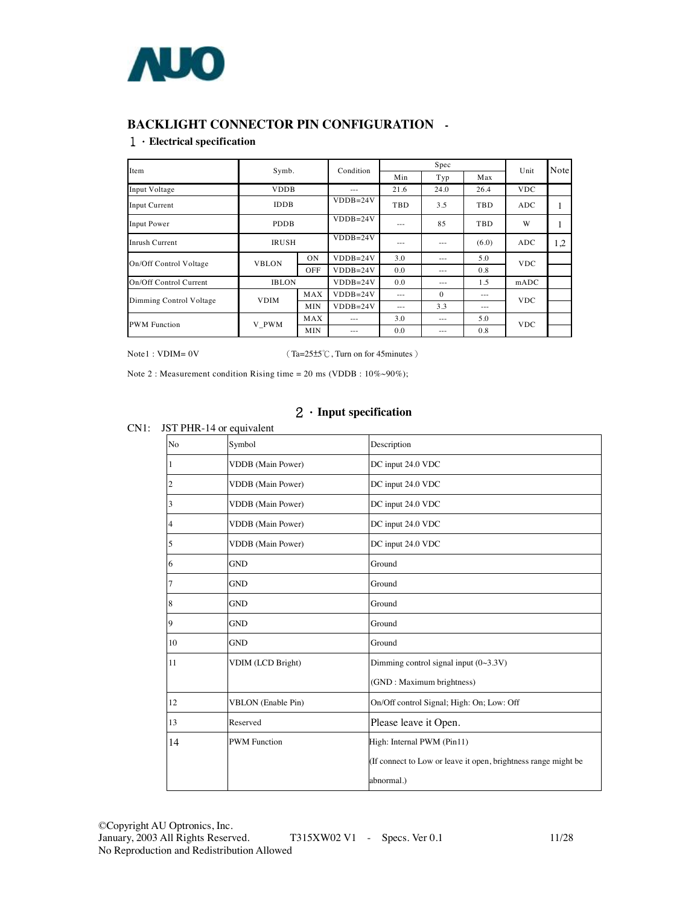

### **BACKLIGHT CONNECTOR PIN CONFIGURATION -**

#### 1.**Electrical specification**

| Item                    | Symb.        |           | Condition    | Spec    |          |         | Unit       | Note |
|-------------------------|--------------|-----------|--------------|---------|----------|---------|------------|------|
|                         |              |           |              | Min     | Typ      | Max     |            |      |
| Input Voltage           | <b>VDDB</b>  |           | ---          | 21.6    | 24.0     | 26.4    | <b>VDC</b> |      |
| Input Current           | <b>IDDB</b>  |           | $VDDB=24V$   | TBD     | 3.5      | TBD     | <b>ADC</b> |      |
| Input Power             | <b>PDDB</b>  |           | $VDDB=24V$   | $- - -$ | 85       | TBD     | W          |      |
| Inrush Current          | <b>IRUSH</b> |           | $VDDB=24V$   | $- - -$ | $- - -$  | (6.0)   | <b>ADC</b> | 1,2  |
| On/Off Control Voltage  | <b>VBLON</b> | <b>ON</b> | $VDDB=24V$   | 3.0     | $- - -$  | 5.0     | <b>VDC</b> |      |
|                         |              | OFF       | $VDDB=24V$   | 0.0     | $- - -$  | 0.8     |            |      |
| On/Off Control Current  | <b>IBLON</b> |           | $VDDB=24V$   | 0.0     | $- - -$  | 1.5     | mADC       |      |
| Dimming Control Voltage | <b>VDIM</b>  | MAX       | $VDDB = 24V$ | $- - -$ | $\Omega$ | $- - -$ | <b>VDC</b> |      |
|                         |              | MIN       | $VDDB=24V$   | $- - -$ | 3.3      | $- - -$ |            |      |
| <b>PWM</b> Function     | V PWM        | MAX       | ---          | 3.0     | $- - -$  | 5.0     |            |      |
|                         |              | MIN       | ---          | 0.0     | $- - -$  | 0.8     | <b>VDC</b> |      |

Note1 : VDIM= 0V (Ta=25±5℃, Turn on for 45minutes)

Note 2 : Measurement condition Rising time = 20 ms (VDDB :  $10\% \sim 90\%$ );

### 2.**Input specification**

#### CN1: JST PHR-14 or equivalent

| No | Symbol                    | Description                                                    |
|----|---------------------------|----------------------------------------------------------------|
|    | VDDB (Main Power)         | DC input 24.0 VDC                                              |
|    | <b>VDDB</b> (Main Power)  | DC input 24.0 VDC                                              |
| 3  | <b>VDDB</b> (Main Power)  | DC input 24.0 VDC                                              |
| 4  | VDDB (Main Power)         | DC input 24.0 VDC                                              |
| 5  | <b>VDDB</b> (Main Power)  | DC input 24.0 VDC                                              |
| 6  | <b>GND</b>                | Ground                                                         |
| 7  | <b>GND</b>                | Ground                                                         |
| 8  | <b>GND</b>                | Ground                                                         |
| 9  | <b>GND</b>                | Ground                                                         |
| 10 | <b>GND</b>                | Ground                                                         |
| 11 | VDIM (LCD Bright)         | Dimming control signal input $(0~3.3V)$                        |
|    |                           | (GND: Maximum brightness)                                      |
| 12 | <b>VBLON</b> (Enable Pin) | On/Off control Signal; High: On; Low: Off                      |
| 13 | Reserved                  | Please leave it Open.                                          |
| 14 | <b>PWM</b> Function       | High: Internal PWM (Pin11)                                     |
|    |                           | (If connect to Low or leave it open, brightness range might be |
|    |                           | abnormal.)                                                     |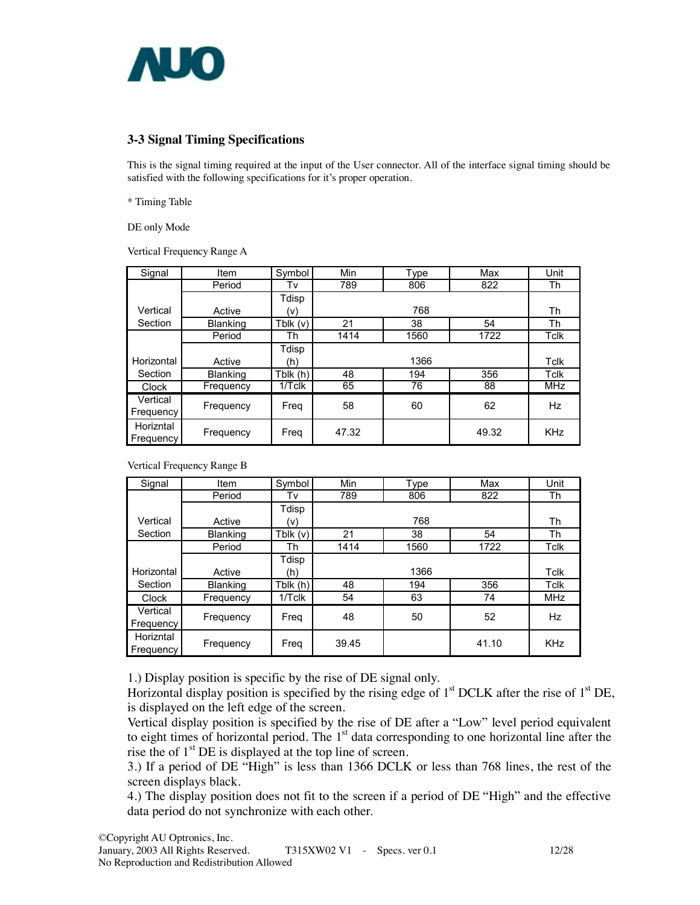

### **3-3 Signal Timing Specifications**

This is the signal timing required at the input of the User connector. All of the interface signal timing should be satisfied with the following specifications for it's proper operation.

\* Timing Table

DE only Mode

Vertical Frequency Range A

| Signal     | Item            | Symbol     | Min   | Type | Max   | Unit        |
|------------|-----------------|------------|-------|------|-------|-------------|
|            | Period          | Tv         | 789   | 806  | 822   | Th          |
|            |                 | Tdisp      |       |      |       |             |
| Vertical   | Active          | (v)        |       | 768  |       | Th          |
| Section    | <b>Blanking</b> | Tblk $(v)$ | 21    | 38   | 54    | Th          |
|            | Period          | Th         | 1414  | 1560 | 1722  | <b>Tclk</b> |
|            |                 | Tdisp      |       |      |       |             |
| Horizontal | Active          | (h)        |       | 1366 |       | Tclk        |
| Section    | <b>Blanking</b> | Tblk $(h)$ | 48    | 194  | 356   | Tclk        |
| Clock      | Frequency       | 1/Tclk     | 65    | 76   | 88    | <b>MHz</b>  |
| Vertical   | Frequency       | Freq       | 58    | 60   | 62    | Hz          |
| Frequency  |                 |            |       |      |       |             |
| Horizntal  |                 |            | 47.32 |      | 49.32 | <b>KHz</b>  |
| Frequency  | Frequency       | Freq       |       |      |       |             |

Vertical Frequency Range B

| Signal     | Item            | Symbol    | Min   | <b>Type</b> | Max   | Unit        |
|------------|-----------------|-----------|-------|-------------|-------|-------------|
|            | Period          | Tv        | 789   | 806         | 822   | Th          |
|            |                 | Tdisp     |       |             |       |             |
| Vertical   | Active          | (v)       |       | 768         |       | Th          |
| Section    | <b>Blanking</b> | Tblk(v)   | 21    | 38          | 54    | Th          |
|            | Period          | Th        | 1414  | 1560        | 1722  | <b>Tclk</b> |
|            |                 | Tdisp     |       |             |       |             |
| Horizontal | Active          | (h)       |       | 1366        |       | Tclk        |
| Section    | Blanking        | Tblk (h)  | 48    | 194         | 356   | Tclk        |
| Clock      | Frequency       | $1/T$ clk | 54    | 63          | 74    | <b>MHz</b>  |
| Vertical   | Frequency       | Freg      | 48    | 50          | 52    | Hz          |
| Frequency  |                 |           |       |             |       |             |
| Horizntal  |                 |           | 39.45 |             | 41.10 | <b>KHz</b>  |
| Frequency  | Frequency       | Freq      |       |             |       |             |

1.) Display position is specific by the rise of DE signal only.

Horizontal display position is specified by the rising edge of  $1<sup>st</sup> DCLK$  after the rise of  $1<sup>st</sup> DE$ , is displayed on the left edge of the screen.

Vertical display position is specified by the rise of DE after a "Low" level period equivalent to eight times of horizontal period. The  $1<sup>st</sup>$  data corresponding to one horizontal line after the rise the of  $1<sup>st</sup>$  DE is displayed at the top line of screen.

3.) If a period of DE "High" is less than 1366 DCLK or less than 768 lines, the rest of the screen displays black.

4.) The display position does not fit to the screen if a period of DE "High" and the effective data period do not synchronize with each other.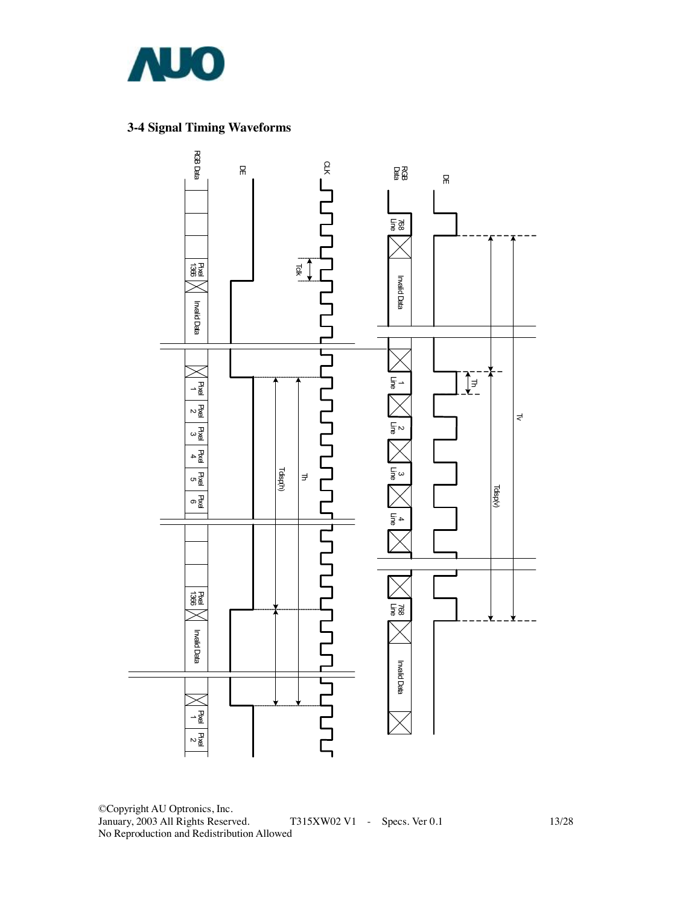

### **3-4 Signal Timing Waveforms**



©Copyright AU Optronics, Inc. January, 2003 All Rights Reserved. T315XW02 V1 - Specs. Ver 0.1 13/28 No Reproduction and Redistribution Allowed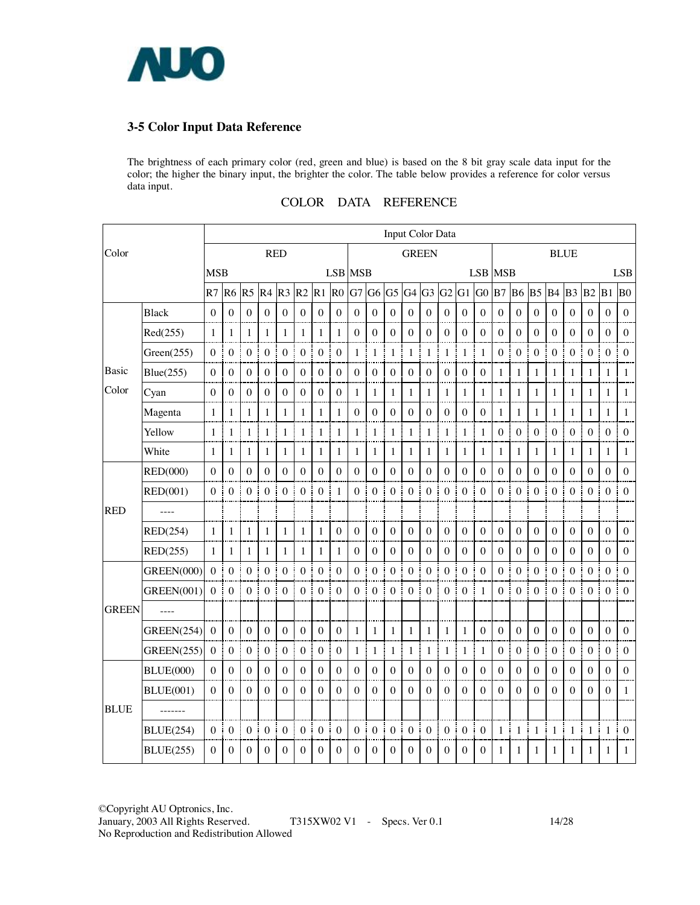

### **3-5 Color Input Data Reference**

The brightness of each primary color (red, green and blue) is based on the 8 bit gray scale data input for the color; the higher the binary input, the brighter the color. The table below provides a reference for color versus data input.

| COLOR<br>DATA | <b>REFERENCE</b> |
|---------------|------------------|
|---------------|------------------|

|              |                   | <b>Input Color Data</b> |                       |                     |                  |                  |                       |                   |                     |                     |                       |                   |                            |                        |                  |                  |                   |                   |                  |                       |                       |                  |                       |                        |                  |
|--------------|-------------------|-------------------------|-----------------------|---------------------|------------------|------------------|-----------------------|-------------------|---------------------|---------------------|-----------------------|-------------------|----------------------------|------------------------|------------------|------------------|-------------------|-------------------|------------------|-----------------------|-----------------------|------------------|-----------------------|------------------------|------------------|
| Color        |                   |                         |                       |                     | <b>RED</b>       |                  |                       |                   |                     |                     |                       |                   | <b>GREEN</b>               |                        |                  |                  |                   |                   |                  |                       |                       | <b>BLUE</b>      |                       |                        |                  |
|              |                   | <b>MSB</b>              |                       |                     |                  |                  |                       |                   |                     | <b>LSB</b> MSB      |                       |                   |                            |                        |                  |                  |                   | <b>LSB MSB</b>    |                  |                       |                       |                  |                       |                        | <b>LSB</b>       |
|              |                   | R7                      | R <sub>6</sub>        | R <sub>5</sub>      | R4               | R <sub>3</sub>   | R2                    | $R1$ $R0$         |                     | G7 G6               |                       | G <sub>5</sub>    | $G4$ $G3$                  |                        | G2               | $G1$ $G0$        |                   | B7                | B <sub>6</sub>   | <b>B5</b>             | B <sub>4</sub>        | <b>B3 B2</b>     |                       | $B1$ $B0$              |                  |
|              | <b>Black</b>      | $\Omega$                | $\boldsymbol{0}$      | $\theta$            | $\theta$         | $\theta$         | $\theta$              | $\theta$          | $\boldsymbol{0}$    | $\boldsymbol{0}$    | $\boldsymbol{0}$      | $\theta$          | $\mathbf{0}$               | $\mathbf{0}$           | $\theta$         | $\theta$         | $\theta$          | $\boldsymbol{0}$  | $\Omega$         | $\boldsymbol{0}$      | $\mathbf{0}$          | $\Omega$         | $\Omega$              | $\theta$               | $\theta$         |
|              | Red(255)          | 1                       | 1                     | 1                   | $\mathbf{1}$     | 1                | $\mathbf{1}$          | 1                 | 1                   | $\boldsymbol{0}$    | $\boldsymbol{0}$      | $\boldsymbol{0}$  | $\boldsymbol{0}$           | $\boldsymbol{0}$       | $\boldsymbol{0}$ | $\boldsymbol{0}$ | $\boldsymbol{0}$  | $\boldsymbol{0}$  | $\mathbf{0}$     | $\boldsymbol{0}$      | $\boldsymbol{0}$      | $\boldsymbol{0}$ | $\boldsymbol{0}$      | $\mathbf{0}$           | $\mathbf{0}$     |
|              | Green(255)        | $\theta$                | Ŧ<br>$\boldsymbol{0}$ | $\boldsymbol{0}$    | $\boldsymbol{0}$ | $\boldsymbol{0}$ | $\boldsymbol{0}$<br>j | $\boldsymbol{0}$  | I<br>$\overline{0}$ | $\mathbf{1}$        | ŧ<br>$\mathbf{1}$     | $\mathbf{1}$<br>ŧ | ŧ<br>$\mathbf{1}$          | I<br>$\mathbf{1}$<br>ŧ | $1\,$<br>÷       | $\mathbf{1}$     | ÷<br>$\mathbf{1}$ | $\mathbf{0}$<br>j | $\boldsymbol{0}$ | $\boldsymbol{0}$      | I<br>$\boldsymbol{0}$ | $\mathbf{0}$     | $\boldsymbol{0}$<br>Ť | $\mathbf{0}$<br>ŧ<br>÷ | $\theta$         |
| Basic        | Blue(255)         | $\boldsymbol{0}$        | $\boldsymbol{0}$      | $\boldsymbol{0}$    | $\mathbf{0}$     | $\boldsymbol{0}$ | $\mathbf{0}$          | $\mathbf{0}$      | $\theta$            | $\mathbf{0}$        | $\mathbf{0}$          | $\mathbf{0}$      | $\mathbf{0}$               | $\boldsymbol{0}$       | $\mathbf{0}$     | $\mathbf{0}$     | $\boldsymbol{0}$  | 1                 | $\mathbf{1}$     | 1                     | $\mathbf{1}$          | 1                | $\mathbf{1}$          | $\mathbf{1}$           | $\mathbf{1}$     |
| Color        | Cyan              | $\mathbf{0}$            | $\mathbf{0}$          | $\boldsymbol{0}$    | $\mathbf{0}$     | $\mathbf{0}$     | $\overline{0}$        | $\boldsymbol{0}$  | $\mathbf{0}$        | 1<br>ł              | $\mathbf{1}$          | 1                 | $\mathbf{1}$               | 1                      | $\mathbf{1}$     | 1                | 1                 | 1                 | 1                | 1 <sub>i</sub>        | $\mathbf{1}$          | 1                | $\mathbf{1}$          | 1                      | 1                |
|              | Magenta           | $\mathbf{1}$            | 1                     | 1                   | 1                | 1                | $\mathbf{1}$          | 1                 | $\mathbf{1}$        | $\boldsymbol{0}$    | $\boldsymbol{0}$      | $\overline{0}$    | $\boldsymbol{0}$           | $\boldsymbol{0}$       | $\boldsymbol{0}$ | $\boldsymbol{0}$ | $\boldsymbol{0}$  | 1                 | $\mathbf{1}$     | 1                     | 1                     | 1                | 1                     | 1                      | 1                |
|              | Yellow            | $\mathbf{1}$            | $\mathbf{1}$          | 1                   | $\mathbf{1}$     | $\mathbf{1}$     | $\mathbf{1}$          | 1                 | $\mathbf{1}$        | 1<br>j              | $\mathbf{1}$          | $\mathbf{1}$      | $\mathbf{1}$               | $\mathbf{1}$           | $\mathbf{1}$     | 1                | $\mathbf{1}$      | $\boldsymbol{0}$  | $\Omega$         | $\boldsymbol{0}$      | $\boldsymbol{0}$      | $\boldsymbol{0}$ | $\boldsymbol{0}$      | $\theta$               | $\theta$         |
|              | White             | 1                       | $\mathbf{1}$          | 1                   | $\mathbf{1}$     | 1                | $\mathbf{1}$          | 1                 | $\mathbf{1}$        | 1                   | $\mathbf{1}$          | 1                 | $\mathbf{1}$               | 1                      | $\mathbf{1}$     | 1                | 1                 | 1                 | 1                | 1                     | $\mathbf{1}$          | 1                | $\mathbf{1}$          | 1                      | 1                |
|              | RED(000)          | $\theta$                | $\overline{0}$        | $\mathbf{0}$        | $\mathbf{0}$     | $\mathbf{0}$     | $\overline{0}$        | $\mathbf{0}$      | $\mathbf{0}$        | $\mathbf{0}$        | $\mathbf{0}$          | $\boldsymbol{0}$  | $\boldsymbol{0}$           | $\mathbf{0}$           | $\mathbf{0}$     | $\mathbf{0}$     | $\mathbf{0}$      | $\mathbf{0}$      | $\mathbf{0}$     | $\boldsymbol{0}$      | $\boldsymbol{0}$      | $\mathbf{0}$     | $\overline{0}$        | $\theta$               | $\mathbf{0}$     |
|              | RED(001)          | $\Omega$                | $\mathbf{0}$          | $\theta$            | $\boldsymbol{0}$ | $\boldsymbol{0}$ | $\mathbf{0}$          | $\theta$          | $\mathbf{1}$        | ł<br>$\theta$       | $\boldsymbol{0}$      | $\boldsymbol{0}$  | $\mathbf{0}$<br>š          | $\boldsymbol{0}$       | $\boldsymbol{0}$ | $\boldsymbol{0}$ | $\theta$          | $\boldsymbol{0}$  | $\boldsymbol{0}$ | $\boldsymbol{0}$      | I<br>$\boldsymbol{0}$ | $\mathbf{0}$     | $\boldsymbol{0}$      | $\boldsymbol{0}$       | $\mathbf{0}$     |
| <b>RED</b>   |                   |                         |                       |                     |                  |                  |                       |                   |                     |                     |                       |                   |                            |                        |                  |                  |                   |                   |                  |                       |                       |                  |                       |                        |                  |
|              | RED(254)          | $\mathbf{1}$            | ł<br>$\mathbf{1}$     | 1                   | 1                | 1                | $\mathbf{1}$          | $\mathbf{1}$      | $\overline{0}$      | $\mathbf{0}$        | $\mathbf{0}$          | $\overline{0}$    | $\mathbf{0}$               | $\mathbf{0}$           | $\boldsymbol{0}$ | $\mathbf{0}$     | $\boldsymbol{0}$  | $\boldsymbol{0}$  | $\boldsymbol{0}$ | $\boldsymbol{0}$      | $\boldsymbol{0}$      | $\mathbf{0}$     | $\boldsymbol{0}$      | $\overline{0}$         | $\overline{0}$   |
|              | RED(255)          | 1                       | $\mathbf{1}$          | 1                   | $\mathbf{1}$     | 1                | $\mathbf{1}$          | $\mathbf{1}$      | $\mathbf{1}$        | $\mathbf{0}$        | $\boldsymbol{0}$      | $\boldsymbol{0}$  | $\mathbf{0}$               | $\boldsymbol{0}$       | $\mathbf{0}$     | $\boldsymbol{0}$ | $\boldsymbol{0}$  | $\boldsymbol{0}$  | $\boldsymbol{0}$ | $\overline{0}$        | $\boldsymbol{0}$      | $\boldsymbol{0}$ | $\boldsymbol{0}$      | $\mathbf{0}$           | $\theta$         |
|              | <b>GREEN(000)</b> | $\theta$                | ÷<br>$\boldsymbol{0}$ | $\mathbf{0}$        | $\boldsymbol{0}$ | $\mathbf{0}$     | $\boldsymbol{0}$      | $\boldsymbol{0}$  | I<br>$\overline{0}$ | J<br>$\overline{0}$ | $\boldsymbol{0}$      | $\mathbf{0}$      | $\boldsymbol{0}$<br>ŧ      | $\boldsymbol{0}$       | $\boldsymbol{0}$ | $\boldsymbol{0}$ | $\boldsymbol{0}$  | $\boldsymbol{0}$  | $\boldsymbol{0}$ | $\boldsymbol{0}$<br>ŧ | $\boldsymbol{0}$      | $\boldsymbol{0}$ | $\boldsymbol{0}$      | $\mathbf{0}$<br>Ť      | $\mathbf{0}$     |
|              | <b>GREEN(001)</b> | 0                       | $\boldsymbol{0}$      | $\overline{0}$<br>j | $\boldsymbol{0}$ | $\mathbf{0}$     | $\boldsymbol{0}$      | $\mathbf{0}$<br>÷ | $\overline{0}$<br>÷ | 0                   | $\boldsymbol{0}$      | $\boldsymbol{0}$  | $\boldsymbol{0}$           | ī<br>$\overline{0}$    | $\boldsymbol{0}$ | $\boldsymbol{0}$ | $\mathbf{1}$      | $\boldsymbol{0}$  | $\boldsymbol{0}$ | $\boldsymbol{0}$      | ŧ<br>$\boldsymbol{0}$ | $\boldsymbol{0}$ | $\boldsymbol{0}$<br>ł | $\mathbf{0}$           | $\mathbf{0}$     |
| <b>GREEN</b> | $---$             |                         |                       |                     |                  |                  |                       |                   |                     |                     |                       |                   |                            |                        |                  |                  |                   |                   |                  |                       |                       |                  |                       |                        |                  |
|              | <b>GREEN(254)</b> | $\mathbf{0}$            | $\mathbf{0}$          | $\mathbf{0}$        | $\mathbf{0}$     | $\mathbf{0}$     | $\mathbf{0}$          | $\mathbf{0}$      | $\mathbf{0}$        | 1                   | 1                     | 1                 | $\mathbf{1}$               | 1                      | $\mathbf{1}$     | 1                | $\boldsymbol{0}$  | $\boldsymbol{0}$  | $\boldsymbol{0}$ | $\boldsymbol{0}$      | $\boldsymbol{0}$      | $\boldsymbol{0}$ | $\mathbf{0}$          | $\boldsymbol{0}$       | $\boldsymbol{0}$ |
|              | <b>GREEN(255)</b> | $\mathbf{0}$            | $\mathbf{0}$          | $\mathbf{0}$        | $\boldsymbol{0}$ | $\mathbf{0}$     | $\mathbf{0}$          | $\mathbf{0}$      | $\boldsymbol{0}$    | 1                   | $\mathbf{1}$          | 1                 | 1                          | 1                      | 1                | 1                | 1                 | $\boldsymbol{0}$  | $\boldsymbol{0}$ | $\boldsymbol{0}$      | $\boldsymbol{0}$      | $\mathbf{0}$     | $\boldsymbol{0}$      | $\mathbf{0}$           | $\mathbf{0}$     |
|              | <b>BLUE(000)</b>  | $\Omega$                | $\boldsymbol{0}$      | $\boldsymbol{0}$    | $\boldsymbol{0}$ | $\boldsymbol{0}$ | $\mathbf{0}$          | $\boldsymbol{0}$  | $\boldsymbol{0}$    | $\mathbf{0}$        | $\boldsymbol{0}$      | $\mathbf{0}$      | $\boldsymbol{0}$           | $\mathbf{0}$           | $\boldsymbol{0}$ | $\boldsymbol{0}$ | $\boldsymbol{0}$  | $\boldsymbol{0}$  | $\boldsymbol{0}$ | $\boldsymbol{0}$      | $\boldsymbol{0}$      | $\mathbf{0}$     | $\boldsymbol{0}$      | $\theta$               | $\boldsymbol{0}$ |
|              | <b>BLUE(001)</b>  | $\Omega$                | $\theta$              | $\overline{0}$      | $\theta$         | $\mathbf{0}$     | $\theta$              | $\theta$          | $\theta$            | $\mathbf{0}$        | $\Omega$              | $\mathbf{0}$      | $\boldsymbol{0}$           | $\mathbf{0}$           | $\boldsymbol{0}$ | $\boldsymbol{0}$ | $\theta$          | $\boldsymbol{0}$  | $\Omega$         | $\boldsymbol{0}$      | $\mathbf{0}$          | $\boldsymbol{0}$ | $\boldsymbol{0}$      | $\mathbf{0}$           | $\mathbf{1}$     |
| <b>BLUE</b>  | -------           |                         |                       |                     |                  |                  |                       |                   |                     |                     |                       |                   |                            |                        |                  |                  |                   |                   |                  |                       |                       |                  |                       |                        |                  |
|              | <b>BLUE(254)</b>  | $\overline{0}$          | ŧ<br>$\boldsymbol{0}$ | $\overline{0}$      | $\boldsymbol{0}$ | $\mathbf{0}$     | $\mathbf{0}$          | $\boldsymbol{0}$  | $\boldsymbol{0}$    | $\overline{0}$      | ÷<br>$\boldsymbol{0}$ | $\boldsymbol{0}$  | $\boldsymbol{0}$<br>ŧ<br>i | $\boldsymbol{0}$       | $\boldsymbol{0}$ | $\boldsymbol{0}$ | $\mathbf{0}$      | $\mathbf{1}$<br>ŧ | $\mathbf{1}$     | $\mathbf{1}$          | Ī<br>$\mathbf{1}$     | $\mathbf{1}$     | ĵ<br>$\mathbf{1}$     | $\mathbf{1}$<br>Ť      | $\mathbf{0}$     |
|              | <b>BLUE(255)</b>  | $\Omega$                | $\boldsymbol{0}$      | $\Omega$            | $\theta$         | $\theta$         | $\Omega$              | $\theta$          | $\Omega$            | $\mathbf{0}$        | $\Omega$              | $\theta$          | $\boldsymbol{0}$           | $\theta$               | $\Omega$         | $\theta$         | $\theta$          | 1                 | 1                | 1                     | 1                     | 1                | 1                     | 1                      | $\mathbf{1}$     |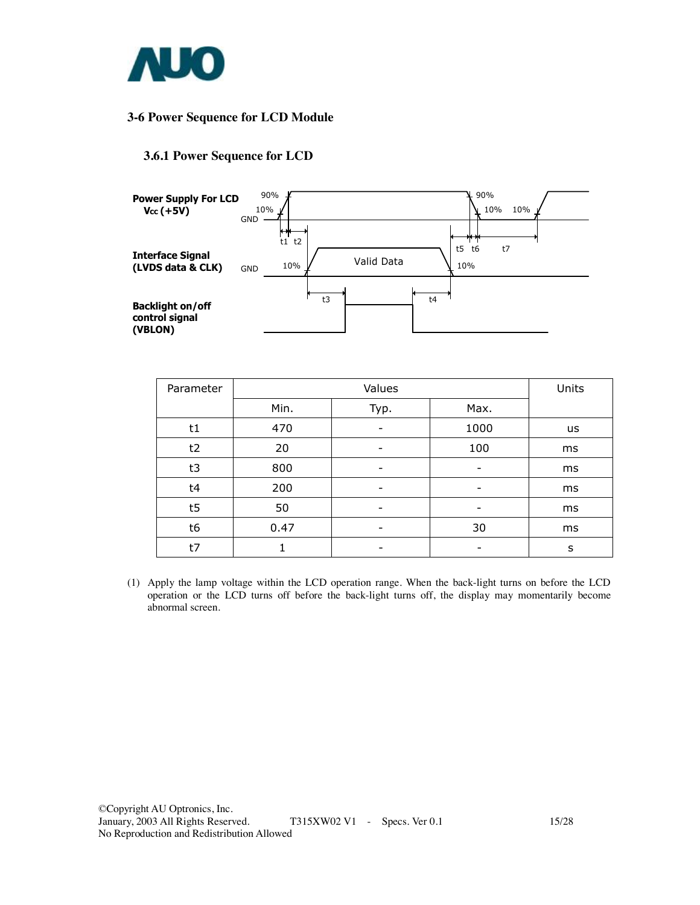

### **3-6 Power Sequence for LCD Module**

### **3.6.1 Power Sequence for LCD**



| Parameter |      | Units |      |    |
|-----------|------|-------|------|----|
|           | Min. | Typ.  | Max. |    |
| t1        | 470  |       | 1000 | us |
| t2        | 20   |       | 100  | ms |
| t3        | 800  |       | -    | ms |
| t4        | 200  |       |      | ms |
| t5        | 50   | -     | -    | ms |
| t6        | 0.47 |       | 30   | ms |
| t7        |      |       |      | s  |

(1) Apply the lamp voltage within the LCD operation range. When the back-light turns on before the LCD operation or the LCD turns off before the back-light turns off, the display may momentarily become abnormal screen.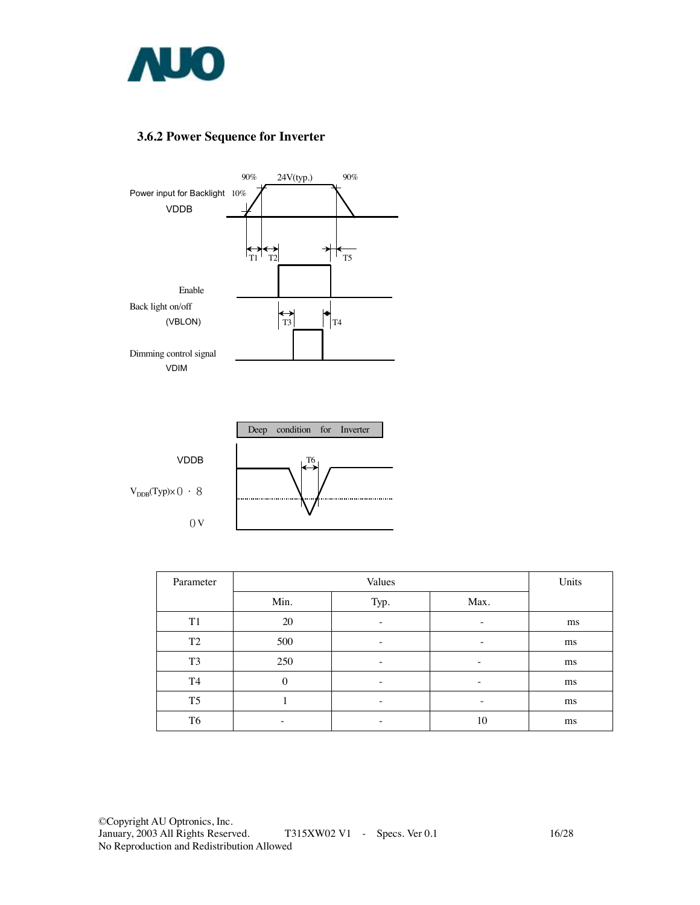

### **3.6.2 Power Sequence for Inverter**





| Parameter      |          | Units                    |      |    |
|----------------|----------|--------------------------|------|----|
|                | Min.     | Typ.                     | Max. |    |
| T <sub>1</sub> | 20       |                          | -    | ms |
| T <sub>2</sub> | 500      |                          | -    | ms |
| T <sub>3</sub> | 250      | $\overline{\phantom{0}}$ | -    | ms |
| T4             | $\theta$ | -                        | -    | ms |
| T <sub>5</sub> |          | -                        | -    | ms |
| T <sub>6</sub> | -        |                          | 10   | ms |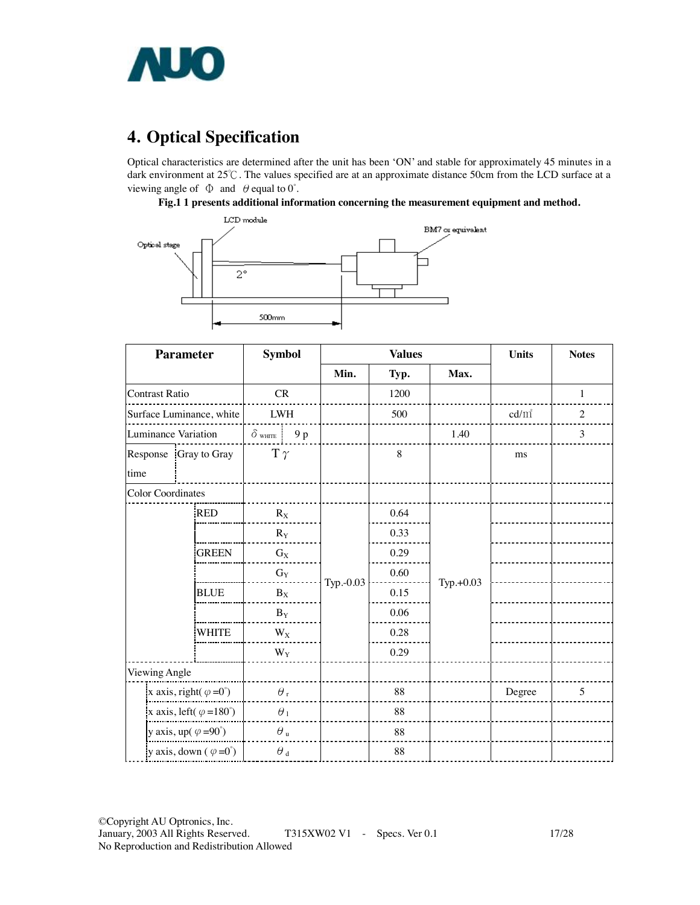

# **4. Optical Specification**

Optical characteristics are determined after the unit has been 'ON' and stable for approximately 45 minutes in a dark environment at 25℃. The values specified are at an approximate distance 50cm from the LCD surface at a viewing angle of  $\Phi$  and  $\theta$  equal to 0°.

#### **Fig.1 1 presents additional information concerning the measurement equipment and method.**



| <b>Parameter</b>                       |              | <b>Symbol</b>           |           | <b>Values</b> | <b>Units</b> | <b>Notes</b> |                |
|----------------------------------------|--------------|-------------------------|-----------|---------------|--------------|--------------|----------------|
|                                        |              |                         | Min.      | Typ.          | Max.         |              |                |
| <b>Contrast Ratio</b>                  |              | CR                      |           | 1200          |              |              | $\mathbf{1}$   |
| Surface Luminance, white               |              | ${\rm LWH}$             |           | 500           |              | $cd/m^2$     | $\overline{c}$ |
| <b>Luminance Variation</b>             |              | $\delta$ white<br>9 p   |           |               | 1.40         |              | 3              |
| Response Gray to Gray<br>time          |              | $T \gamma$              |           | 8             |              | ms           |                |
| <b>Color Coordinates</b>               |              |                         |           |               |              |              |                |
|                                        | <b>RED</b>   | $R_X$                   |           | 0.64          |              |              |                |
|                                        |              | $R_Y$                   |           | 0.33          |              |              |                |
|                                        | <b>GREEN</b> | $G_X$                   |           | 0.29          |              |              |                |
|                                        |              | $G_Y$                   |           | 0.60          |              |              |                |
|                                        | <b>BLUE</b>  | $B_X$                   | Typ.-0.03 | 0.15          | Typ.+0.03    |              |                |
|                                        |              | $\mathbf{B}_\mathbf{Y}$ |           | 0.06          |              |              |                |
|                                        | <b>WHITE</b> | $W_X$                   |           | 0.28          |              |              |                |
|                                        |              | $W_Y$                   |           | 0.29          |              |              |                |
| Viewing Angle                          |              |                         |           |               |              |              |                |
| x axis, right( $\varphi = 0^{\circ}$ ) |              | $\theta$ ,              |           | 88            |              | Degree       | 5              |
| x axis, left( $\varphi = 180^\circ$ )  |              | $\theta_1$              |           | 88            |              |              |                |
| y axis, up( $\varphi = 90^{\circ}$ )   |              | $\theta$ u              |           | 88            |              |              |                |
| y axis, down $(\varphi = 0^{\circ})$   |              | $\theta$ $_{\rm d}$     |           | 88            |              |              |                |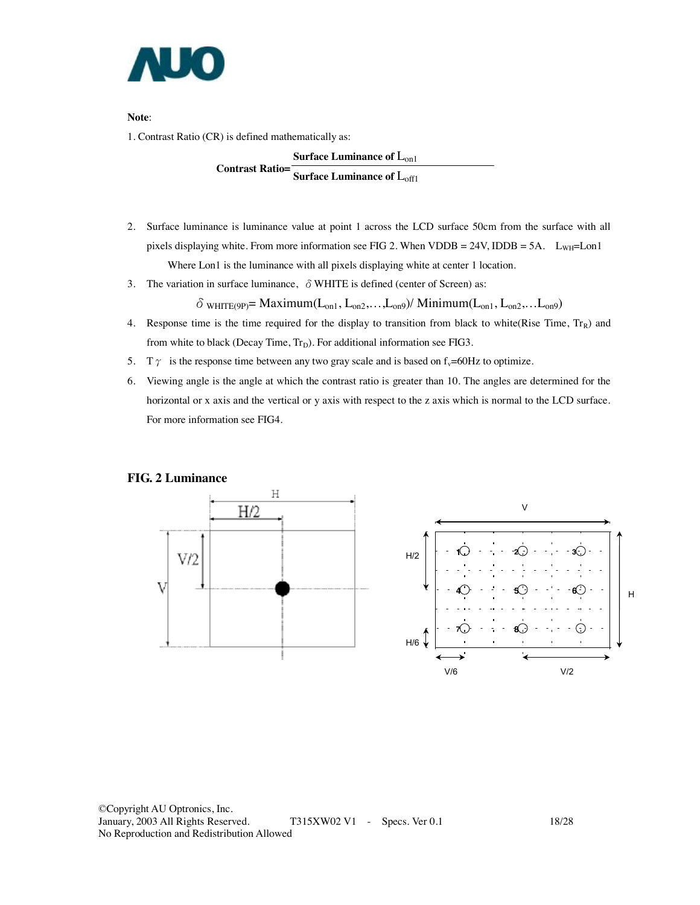

**Note**:

1. Contrast Ratio (CR) is defined mathematically as:

**Surface Luminance of L<sub>on1</sub> Contrast Ratio= Surface Luminance of L<sub>off1</sub>** 

- 2. Surface luminance is luminance value at point 1 across the LCD surface 50cm from the surface with all pixels displaying white. From more information see FIG 2. When VDDB = 24V, IDDB = 5A.  $L_{WH}$ = Lon1 Where Lon1 is the luminance with all pixels displaying white at center 1 location.
- 3. The variation in surface luminance,  $\delta$  WHITE is defined (center of Screen) as:

 $\delta$  white (9p) = Maximum( $L_{on1}$ ,  $L_{on2}$ ,..., $L_{on9}$ ) / Minimum( $L_{on1}$ ,  $L_{on2}$ ,..., $L_{on9}$ )

- 4. Response time is the time required for the display to transition from black to white(Rise Time,  $Tr_R$ ) and from white to black (Decay Time,  $Tr_D$ ). For additional information see FIG3.
- 5. T  $\gamma$  is the response time between any two gray scale and is based on f<sub>v</sub>=60Hz to optimize.
- 6. Viewing angle is the angle at which the contrast ratio is greater than 10. The angles are determined for the horizontal or x axis and the vertical or y axis with respect to the z axis which is normal to the LCD surface. For more information see FIG4.

#### **FIG. 2 Luminance**

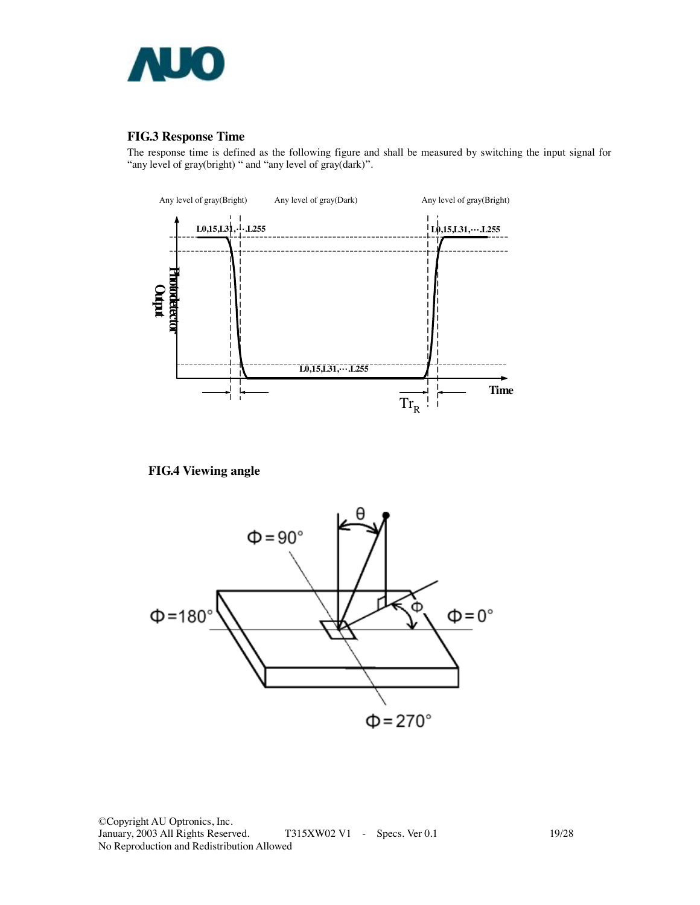

#### **FIG.3 Response Time**

The response time is defined as the following figure and shall be measured by switching the input signal for "any level of gray(bright) " and "any level of gray(dark)".



**FIG.4 Viewing angle** 



©Copyright AU Optronics, Inc. T315XW02 V1 - Specs. Ver 0.1 19/28 No Reproduction and Redistribution Allowed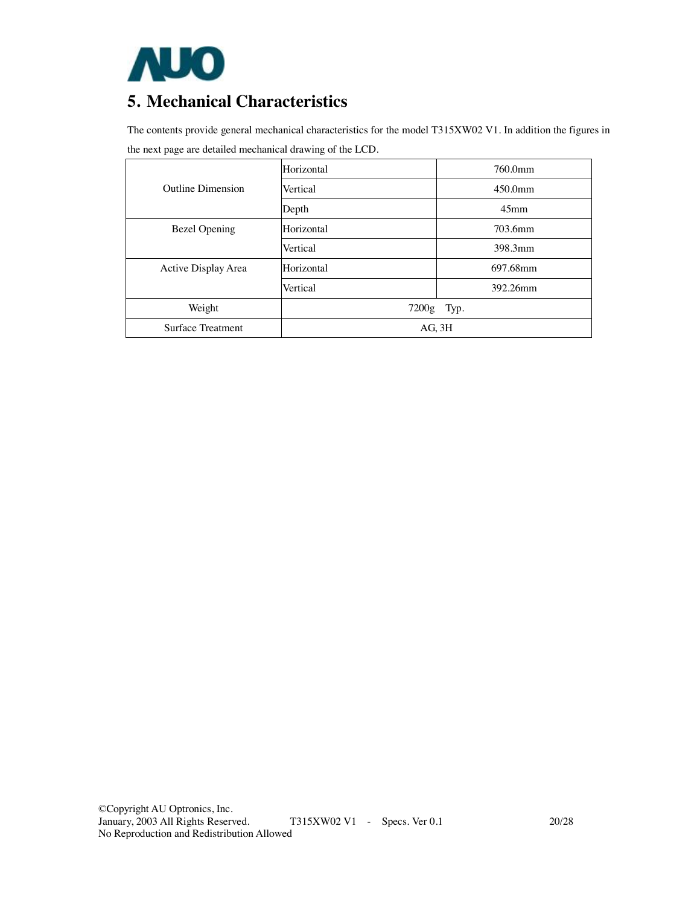

### **5. Mechanical Characteristics**

The contents provide general mechanical characteristics for the model T315XW02 V1. In addition the figures in the next page are detailed mechanical drawing of the LCD.

|                      | Horizontal  | 760.0mm          |  |  |  |
|----------------------|-------------|------------------|--|--|--|
| Outline Dimension    | Vertical    | 450.0mm          |  |  |  |
|                      | Depth       | 45 <sub>mm</sub> |  |  |  |
| <b>Bezel Opening</b> | Horizontal  | 703.6mm          |  |  |  |
|                      | Vertical    | 398.3mm          |  |  |  |
| Active Display Area  | Horizontal  | 697.68mm         |  |  |  |
|                      | Vertical    | 392.26mm         |  |  |  |
| Weight               | 7200g       | Typ.             |  |  |  |
| Surface Treatment    | $AG$ , $3H$ |                  |  |  |  |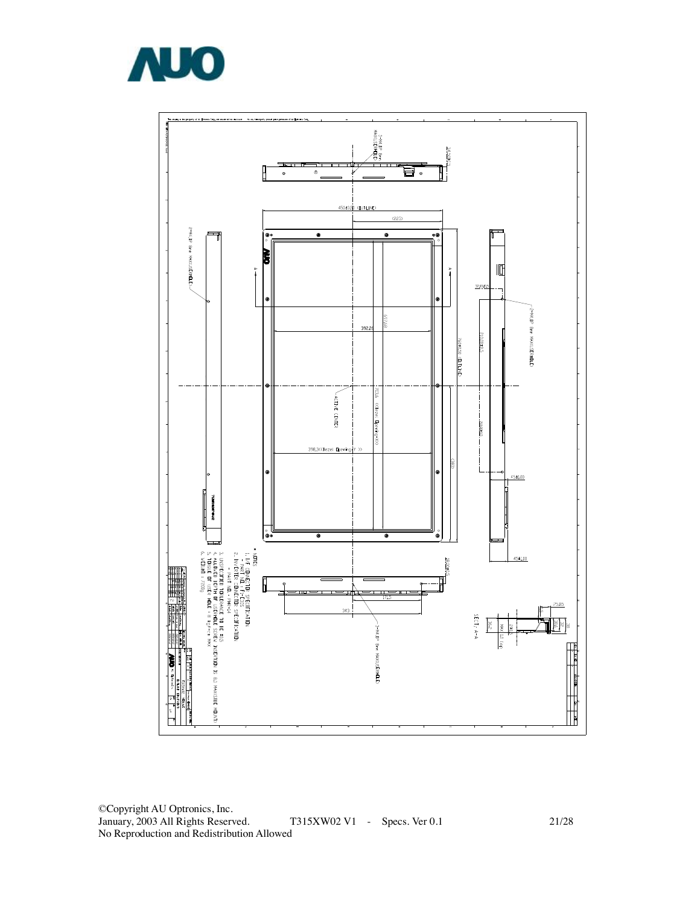

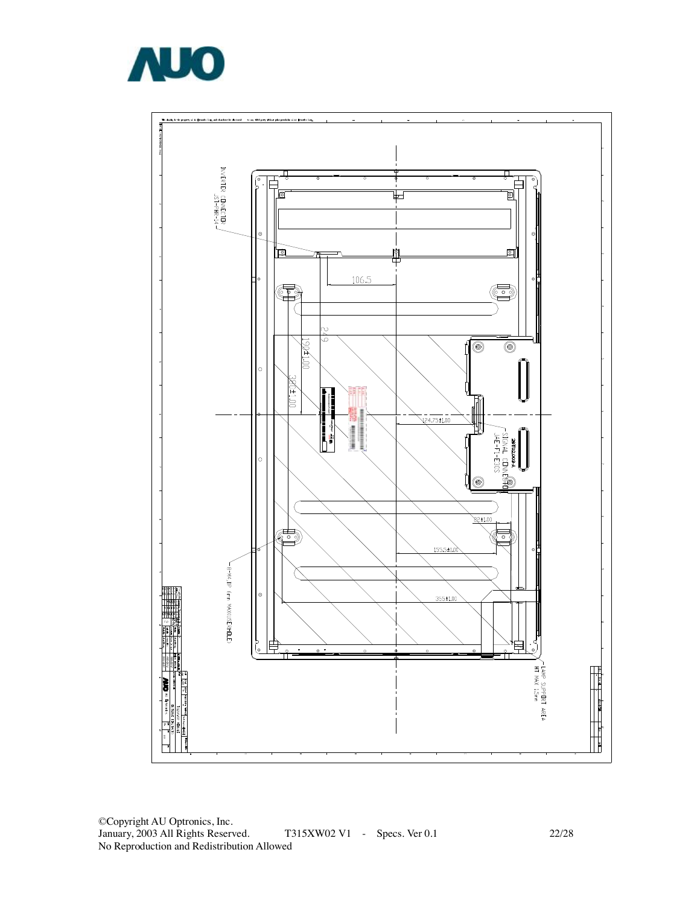

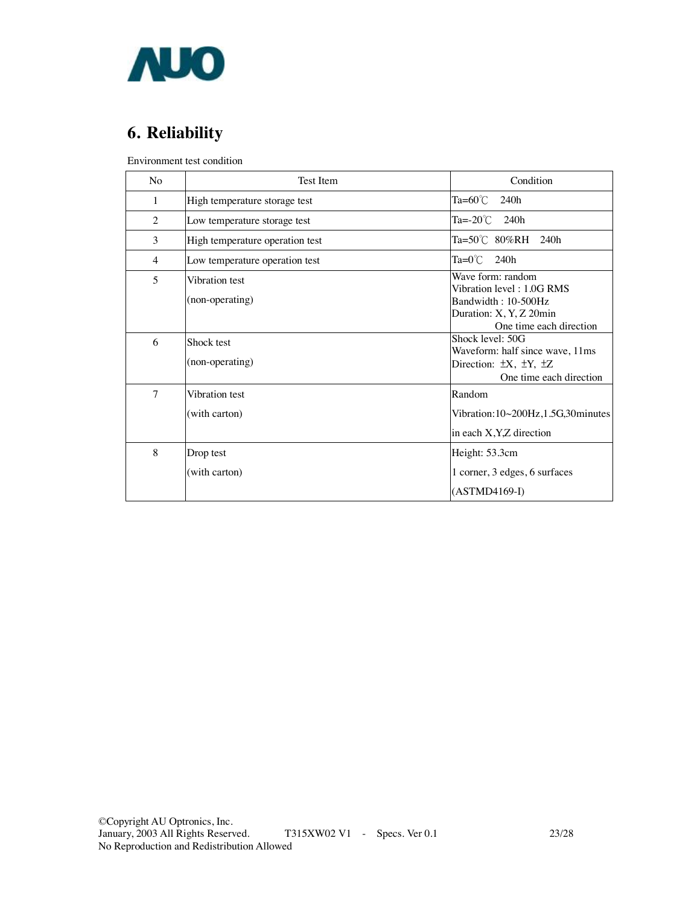

# **6. Reliability**

Environment test condition

| N <sub>0</sub> | <b>Test Item</b>                  | Condition                                                                                                                   |
|----------------|-----------------------------------|-----------------------------------------------------------------------------------------------------------------------------|
| 1              | High temperature storage test     | Ta=60 $°C$<br>240h                                                                                                          |
| 2              | Low temperature storage test      | Ta= $-20^{\circ}$ C 240h                                                                                                    |
| 3              | High temperature operation test   | $Ta = 50^{\circ}C$ 80%RH 240h                                                                                               |
| 4              | Low temperature operation test    | $Ta=0^{\circ}$ C<br>240h                                                                                                    |
| $\overline{5}$ | Vibration test<br>(non-operating) | Wave form: random<br>Vibration level: 1.0G RMS<br>Bandwidth: 10-500Hz<br>Duration: X, Y, Z 20min<br>One time each direction |
| 6              | Shock test<br>(non-operating)     | Shock level: 50G<br>Waveform: half since wave, 11ms<br>Direction: $\pm X$ , $\pm Y$ , $\pm Z$<br>One time each direction    |
| $\overline{7}$ | Vibration test<br>(with carton)   | Random<br>Vibration: $10~200$ Hz, $1.5$ G, $30$ minutes<br>in each X, Y, Z direction                                        |
| 8              | Drop test<br>(with carton)        | Height: 53.3cm<br>1 corner, 3 edges, 6 surfaces<br>$(ASTMD4169-I)$                                                          |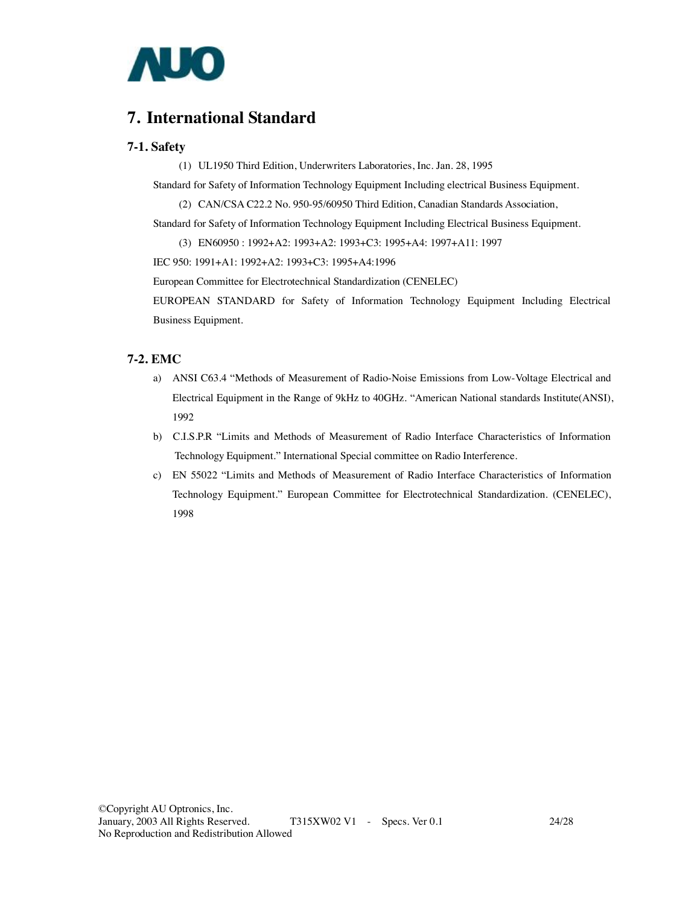

### **7. International Standard**

#### **7-1. Safety**

(1) UL1950 Third Edition, Underwriters Laboratories, Inc. Jan. 28, 1995

Standard for Safety of Information Technology Equipment Including electrical Business Equipment.

(2) CAN/CSA C22.2 No. 950-95/60950 Third Edition, Canadian Standards Association,

Standard for Safety of Information Technology Equipment Including Electrical Business Equipment.

(3) EN60950 : 1992+A2: 1993+A2: 1993+C3: 1995+A4: 1997+A11: 1997

IEC 950: 1991+A1: 1992+A2: 1993+C3: 1995+A4:1996

European Committee for Electrotechnical Standardization (CENELEC)

EUROPEAN STANDARD for Safety of Information Technology Equipment Including Electrical Business Equipment.

#### **7-2. EMC**

- a) ANSI C63.4 "Methods of Measurement of Radio-Noise Emissions from Low-Voltage Electrical and Electrical Equipment in the Range of 9kHz to 40GHz. "American National standards Institute(ANSI), 1992
- b) C.I.S.P.R "Limits and Methods of Measurement of Radio Interface Characteristics of Information Technology Equipment." International Special committee on Radio Interference.
- c) EN 55022 "Limits and Methods of Measurement of Radio Interface Characteristics of Information Technology Equipment." European Committee for Electrotechnical Standardization. (CENELEC), 1998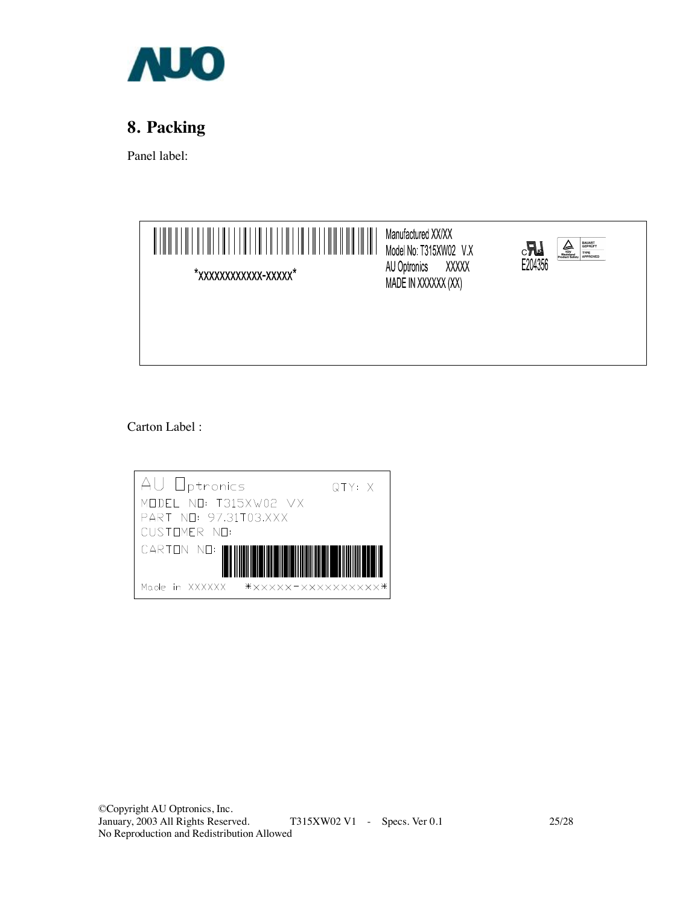

# **8. Packing**

Panel label:



Carton Label :

| AU Optronics                         | QTY: X |
|--------------------------------------|--------|
| MODEL NO: T315XW02 VX                |        |
| PART NO: 97.31T03.XXX                |        |
| CUSTOMER NO:                         |        |
| CARION NO:                           |        |
| ******************<br>Made in XXXXXX |        |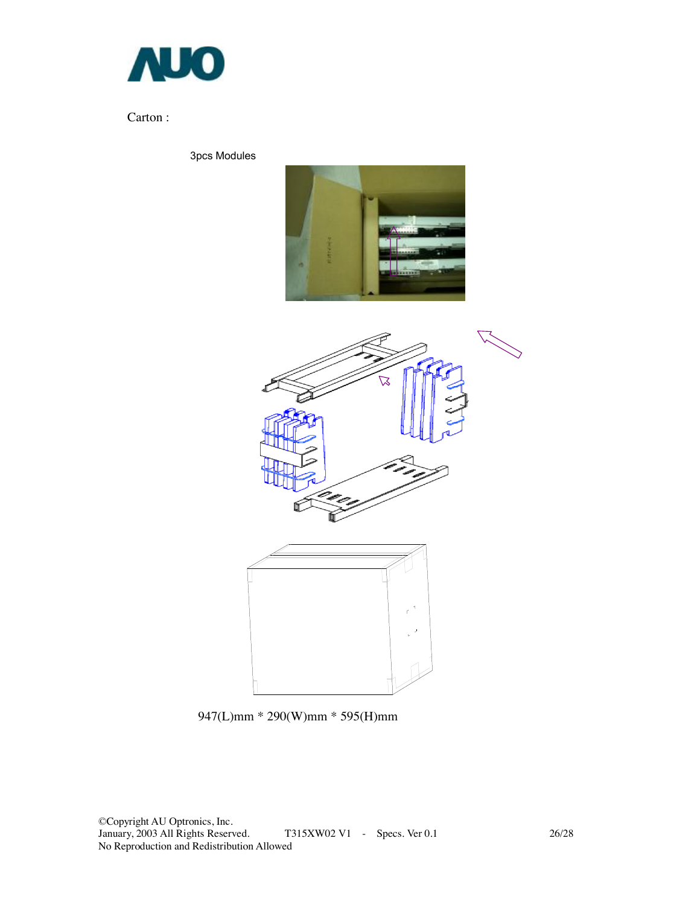

### Carton :

3pcs Modules





947(L)mm \* 290(W)mm \* 595(H)mm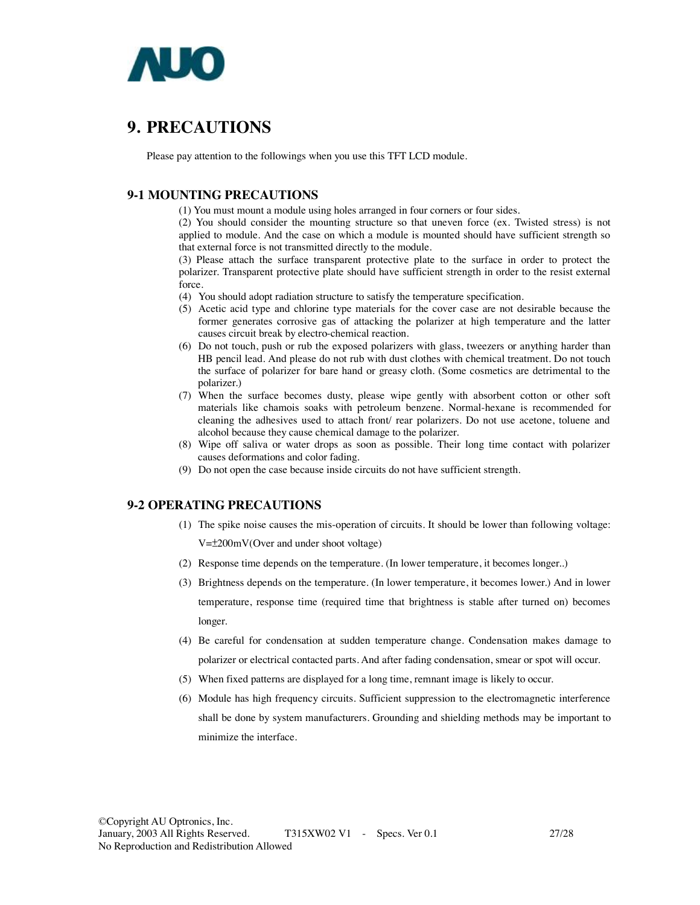

### **9. PRECAUTIONS**

Please pay attention to the followings when you use this TFT LCD module.

### **9-1 MOUNTING PRECAUTIONS**

(1) You must mount a module using holes arranged in four corners or four sides.

(2) You should consider the mounting structure so that uneven force (ex. Twisted stress) is not applied to module. And the case on which a module is mounted should have sufficient strength so that external force is not transmitted directly to the module.

(3) Please attach the surface transparent protective plate to the surface in order to protect the polarizer. Transparent protective plate should have sufficient strength in order to the resist external force.

(4) You should adopt radiation structure to satisfy the temperature specification.

- (5) Acetic acid type and chlorine type materials for the cover case are not desirable because the former generates corrosive gas of attacking the polarizer at high temperature and the latter causes circuit break by electro-chemical reaction.
- (6) Do not touch, push or rub the exposed polarizers with glass, tweezers or anything harder than HB pencil lead. And please do not rub with dust clothes with chemical treatment. Do not touch the surface of polarizer for bare hand or greasy cloth. (Some cosmetics are detrimental to the polarizer.)
- (7) When the surface becomes dusty, please wipe gently with absorbent cotton or other soft materials like chamois soaks with petroleum benzene. Normal-hexane is recommended for cleaning the adhesives used to attach front/ rear polarizers. Do not use acetone, toluene and alcohol because they cause chemical damage to the polarizer.
- (8) Wipe off saliva or water drops as soon as possible. Their long time contact with polarizer causes deformations and color fading.
- (9) Do not open the case because inside circuits do not have sufficient strength.

### **9-2 OPERATING PRECAUTIONS**

- (1) The spike noise causes the mis-operation of circuits. It should be lower than following voltage: V=±200mV(Over and under shoot voltage)
- (2) Response time depends on the temperature. (In lower temperature, it becomes longer..)
- (3) Brightness depends on the temperature. (In lower temperature, it becomes lower.) And in lower temperature, response time (required time that brightness is stable after turned on) becomes longer.
- (4) Be careful for condensation at sudden temperature change. Condensation makes damage to polarizer or electrical contacted parts. And after fading condensation, smear or spot will occur.
- (5) When fixed patterns are displayed for a long time, remnant image is likely to occur.
- (6) Module has high frequency circuits. Sufficient suppression to the electromagnetic interference shall be done by system manufacturers. Grounding and shielding methods may be important to minimize the interface.